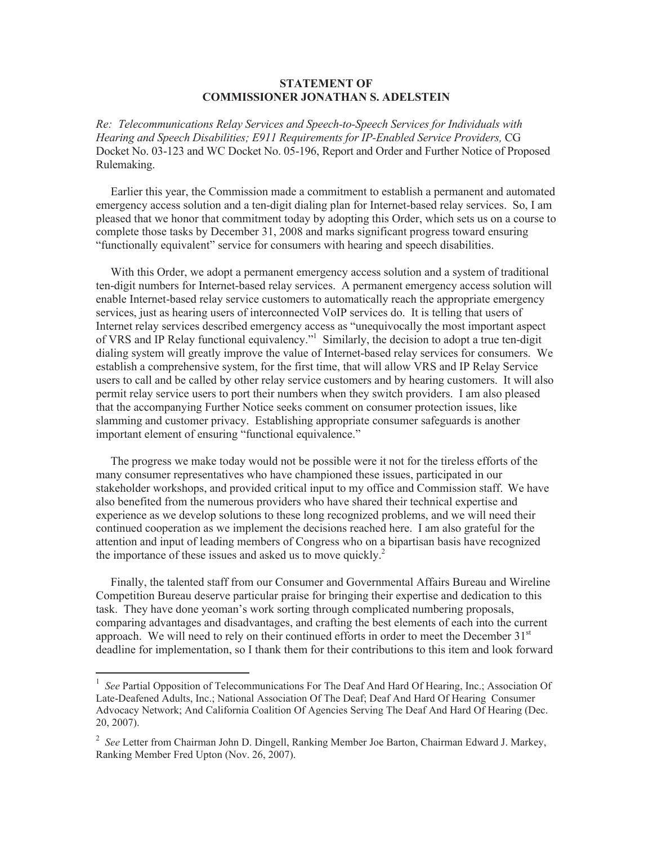## **STATEMENT OF COMMISSIONER JONATHAN S. ADELSTEIN**

*Re: Telecommunications Relay Services and Speech-to-Speech Services for Individuals with Hearing and Speech Disabilities; E911 Requirements for IP-Enabled Service Providers,* CG Docket No. 03-123 and WC Docket No. 05-196, Report and Order and Further Notice of Proposed Rulemaking.

Earlier this year, the Commission made a commitment to establish a permanent and automated emergency access solution and a ten-digit dialing plan for Internet-based relay services. So, I am pleased that we honor that commitment today by adopting this Order, which sets us on a course to complete those tasks by December 31, 2008 and marks significant progress toward ensuring "functionally equivalent" service for consumers with hearing and speech disabilities.

With this Order, we adopt a permanent emergency access solution and a system of traditional ten-digit numbers for Internet-based relay services. A permanent emergency access solution will enable Internet-based relay service customers to automatically reach the appropriate emergency services, just as hearing users of interconnected VoIP services do. It is telling that users of Internet relay services described emergency access as "unequivocally the most important aspect of VRS and IP Relay functional equivalency."<sup>1</sup> Similarly, the decision to adopt a true ten-digit dialing system will greatly improve the value of Internet-based relay services for consumers. We establish a comprehensive system, for the first time, that will allow VRS and IP Relay Service users to call and be called by other relay service customers and by hearing customers. It will also permit relay service users to port their numbers when they switch providers. I am also pleased that the accompanying Further Notice seeks comment on consumer protection issues, like slamming and customer privacy. Establishing appropriate consumer safeguards is another important element of ensuring "functional equivalence."

The progress we make today would not be possible were it not for the tireless efforts of the many consumer representatives who have championed these issues, participated in our stakeholder workshops, and provided critical input to my office and Commission staff. We have also benefited from the numerous providers who have shared their technical expertise and experience as we develop solutions to these long recognized problems, and we will need their continued cooperation as we implement the decisions reached here. I am also grateful for the attention and input of leading members of Congress who on a bipartisan basis have recognized the importance of these issues and asked us to move quickly.<sup>2</sup>

Finally, the talented staff from our Consumer and Governmental Affairs Bureau and Wireline Competition Bureau deserve particular praise for bringing their expertise and dedication to this task. They have done yeoman's work sorting through complicated numbering proposals, comparing advantages and disadvantages, and crafting the best elements of each into the current approach. We will need to rely on their continued efforts in order to meet the December  $31<sup>st</sup>$ deadline for implementation, so I thank them for their contributions to this item and look forward

<sup>&</sup>lt;sup>1</sup> See Partial Opposition of Telecommunications For The Deaf And Hard Of Hearing, Inc.; Association Of Late-Deafened Adults, Inc.; National Association Of The Deaf; Deaf And Hard Of Hearing Consumer Advocacy Network; And California Coalition Of Agencies Serving The Deaf And Hard Of Hearing (Dec. 20, 2007).

<sup>2</sup> *See* Letter from Chairman John D. Dingell, Ranking Member Joe Barton, Chairman Edward J. Markey, Ranking Member Fred Upton (Nov. 26, 2007).